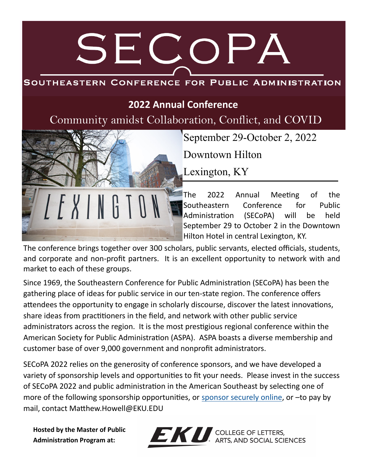# SECOPA

## SOUTHEASTERN CONFERENCE FOR PUBLIC ADMINISTRATION

## **2022 Annual Conference**

Community amidst Collaboration, Conflict, and COVID

September 29-October 2, 2022

Downtown Hilton

Lexington, KY

The 2022 Annual Meeting of the Southeastern Conference for Public Administration (SECoPA) will be held September 29 to October 2 in the Downtown Hilton Hotel in central Lexington, KY.

The conference brings together over 300 scholars, public servants, elected officials, students, and corporate and non-profit partners. It is an excellent opportunity to network with and market to each of these groups.

Since 1969, the Southeastern Conference for Public Administration (SECoPA) has been the gathering place of ideas for public service in our ten-state region. The conference offers attendees the opportunity to engage in scholarly discourse, discover the latest innovations, share ideas from practitioners in the field, and network with other public service administrators across the region. It is the most prestigious regional conference within the American Society for Public Administration (ASPA). ASPA boasts a diverse membership and customer base of over 9,000 government and nonprofit administrators.

SECoPA 2022 relies on the generosity of conference sponsors, and we have developed a variety of sponsorship levels and opportunities to fit your needs. Please invest in the success of SECoPA 2022 and public administration in the American Southeast by selecting one of more of the following sponsorship opportunities, or [sponsor securely online,](https://www.etix.com/ticket/p/5307905/secopa-conference-sponsorship-richmond-eku-conferencing-events) or –to pay by mail, contact Matthew.Howell@EKU.EDU

**Hosted by the Master of Public Administration Program at:**